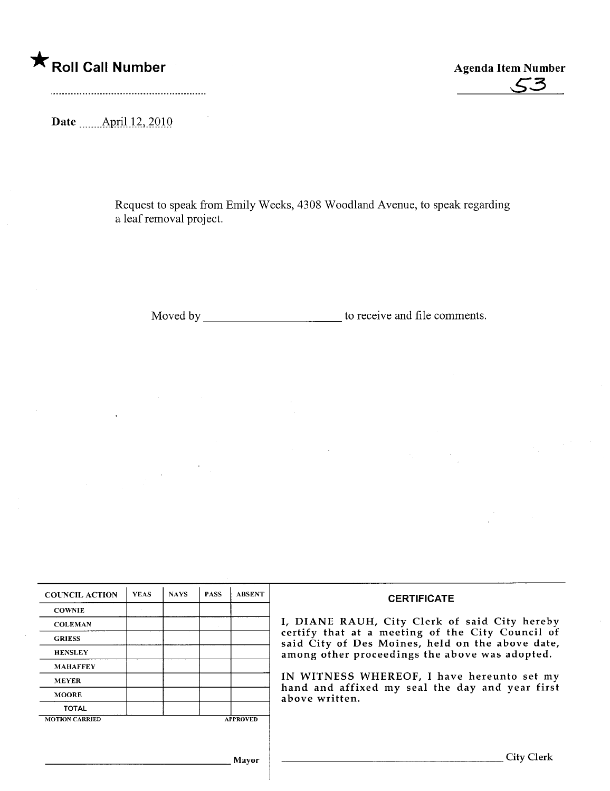**\*** Roll Call Number Agenda Item Number Agenda Item Number , Agenda Item Number , Agenda Item Number , Agenda Item Number , Agenda Item Number , Agenda Item Number , Agenda Item Number , Agenda Item Number , Agenda Item Nu

 $\bar{\mathcal{A}}$ 

Date \_\_\_\_\_\_ April 12, 2010

Request to speak from Emily Weeks, 4308 Woodland Avenue, to speak regarding a leaf removal project.

Moved by \_\_\_\_\_\_\_\_\_\_\_\_\_\_\_\_\_\_\_\_\_\_\_\_\_\_\_\_\_\_\_\_ to receive and file comments.

| <b>COUNCIL ACTION</b> | <b>YEAS</b> | <b>NAYS</b> | <b>PASS</b> | <b>ABSENT</b>   | <b>CERTIFICATE</b>                                                                                                                                                                                                                                                                                                         |
|-----------------------|-------------|-------------|-------------|-----------------|----------------------------------------------------------------------------------------------------------------------------------------------------------------------------------------------------------------------------------------------------------------------------------------------------------------------------|
| <b>COWNIE</b>         |             |             |             |                 | I, DIANE RAUH, City Clerk of said City hereby<br>certify that at a meeting of the City Council of<br>said City of Des Moines, held on the above date,<br>among other proceedings the above was adopted.<br>IN WITNESS WHEREOF, I have hereunto set my<br>hand and affixed my seal the day and year first<br>above written. |
| <b>COLEMAN</b>        |             |             |             |                 |                                                                                                                                                                                                                                                                                                                            |
| <b>GRIESS</b>         |             |             |             |                 |                                                                                                                                                                                                                                                                                                                            |
| <b>HENSLEY</b>        |             |             |             |                 |                                                                                                                                                                                                                                                                                                                            |
| <b>MAHAFFEY</b>       |             |             |             |                 |                                                                                                                                                                                                                                                                                                                            |
| <b>MEYER</b>          |             |             |             |                 |                                                                                                                                                                                                                                                                                                                            |
| <b>MOORE</b>          |             |             |             |                 |                                                                                                                                                                                                                                                                                                                            |
| <b>TOTAL</b>          |             |             |             |                 |                                                                                                                                                                                                                                                                                                                            |
| <b>MOTION CARRIED</b> |             |             |             | <b>APPROVED</b> |                                                                                                                                                                                                                                                                                                                            |
|                       |             |             |             |                 |                                                                                                                                                                                                                                                                                                                            |
| <b>Mayor</b>          |             |             |             |                 | <b>City Clerk</b>                                                                                                                                                                                                                                                                                                          |